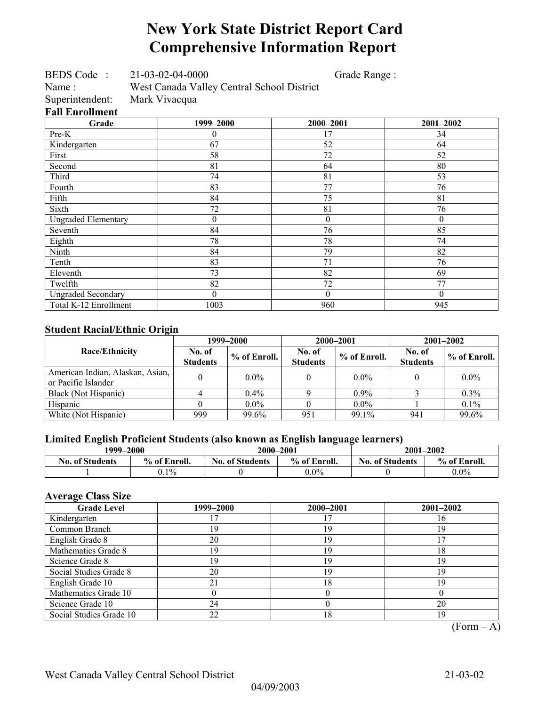## **New York State District Report Card Comprehensive Information Report**

BEDS Code : 21-03-02-04-0000 Grade Range :

Name : West Canada Valley Central School District

**Fall Enrollment** 

Superintendent: Mark Vivacqua

| Grade                      | 1999-2000 | 2000-2001        | 2001-2002 |
|----------------------------|-----------|------------------|-----------|
| Pre-K                      | 0         | 17               | 34        |
| Kindergarten               | 67        | 52               | 64        |
| First                      | 58        | 72               | 52        |
| Second                     | 81        | 64               | 80        |
| Third                      | 74        | 81               | 53        |
| Fourth                     | 83        | 77               | 76        |
| Fifth                      | 84        | 75               | 81        |
| Sixth                      | 72        | 81               | 76        |
| <b>Ungraded Elementary</b> | $\theta$  | $\boldsymbol{0}$ | $\theta$  |
| Seventh                    | 84        | 76               | 85        |
| Eighth                     | 78        | 78               | 74        |
| Ninth                      | 84        | 79               | 82        |
| Tenth                      | 83        | 71               | 76        |
| Eleventh                   | 73        | 82               | 69        |
| Twelfth                    | 82        | 72               | 77        |
| <b>Ungraded Secondary</b>  | $\Omega$  | $\theta$         | $\theta$  |
| Total K-12 Enrollment      | 1003      | 960              | 945       |

### **Student Racial/Ethnic Origin**

|                                                         |                           | 1999–2000    |                           | 2000-2001      | $2001 - 2002$             |              |
|---------------------------------------------------------|---------------------------|--------------|---------------------------|----------------|---------------------------|--------------|
| <b>Race/Ethnicity</b>                                   | No. of<br><b>Students</b> | % of Enroll. | No. of<br><b>Students</b> | $%$ of Enroll. | No. of<br><b>Students</b> | % of Enroll. |
| American Indian, Alaskan, Asian,<br>or Pacific Islander |                           | $0.0\%$      |                           | $0.0\%$        |                           | $0.0\%$      |
| Black (Not Hispanic)                                    |                           | $0.4\%$      |                           | $0.9\%$        |                           | $0.3\%$      |
| Hispanic                                                |                           | $0.0\%$      |                           | $0.0\%$        |                           | $0.1\%$      |
| White (Not Hispanic)                                    | 999                       | 99.6%        | 951                       | 99.1%          | 941                       | 99.6%        |

### **Limited English Proficient Students (also known as English language learners)**

|                        | 1999–2000    |                                        | 2000-2001 | 2001-2002              |              |
|------------------------|--------------|----------------------------------------|-----------|------------------------|--------------|
| <b>No. of Students</b> | % of Enroll. | <b>No. of Students</b><br>% of Enroll. |           | <b>No. of Students</b> | % of Enroll. |
|                        | $0.1\%$      |                                        | $0.0\%$   |                        | $0.0\%$      |

### **Average Class Size**

| <b>Grade Level</b>      | 1999–2000 | 2000-2001 | 2001-2002 |
|-------------------------|-----------|-----------|-----------|
| Kindergarten            |           |           | 16        |
| Common Branch           | 19        | 19        | 19        |
| English Grade 8         | 20        | 19        |           |
| Mathematics Grade 8     | 19        | 19        | 18        |
| Science Grade 8         | 19        | 19        | 19        |
| Social Studies Grade 8  | 20        | 19        | 19        |
| English Grade 10        | 21        | 18        | 19        |
| Mathematics Grade 10    |           |           |           |
| Science Grade 10        | 24        |           | 20        |
| Social Studies Grade 10 | 22        | 18        | 19        |

 $(Form - A)$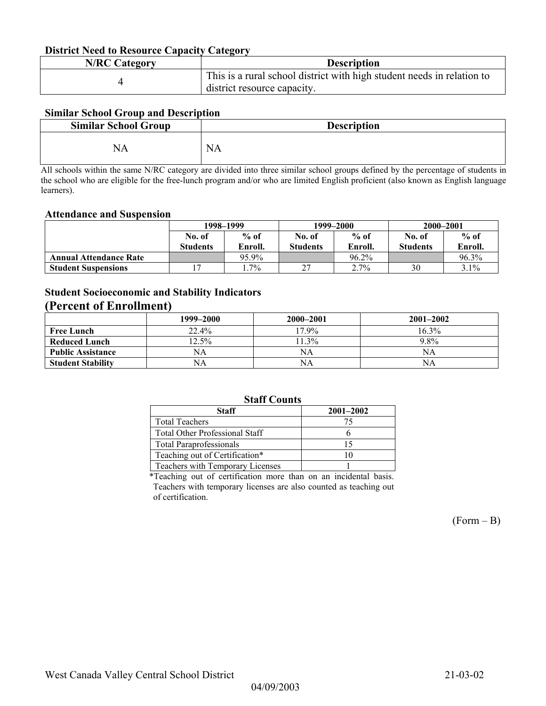#### **District Need to Resource Capacity Category**

| <b>N/RC Category</b> | <b>Description</b>                                                     |  |
|----------------------|------------------------------------------------------------------------|--|
|                      | This is a rural school district with high student needs in relation to |  |
|                      | district resource capacity.                                            |  |

#### **Similar School Group and Description**

| <b>Similar School Group</b> | <b>Description</b> |
|-----------------------------|--------------------|
|                             | NA                 |

All schools within the same N/RC category are divided into three similar school groups defined by the percentage of students in the school who are eligible for the free-lunch program and/or who are limited English proficient (also known as English language learners).

#### **Attendance and Suspension**

|                               | 1998–1999       |         |                 | 1999–2000 | 2000-2001       |         |
|-------------------------------|-----------------|---------|-----------------|-----------|-----------------|---------|
|                               | No. of          | $%$ of  | No. of          | $%$ of    | No. of          | $%$ of  |
|                               | <b>Students</b> | Enroll. | <b>Students</b> | Enroll.   | <b>Students</b> | Enroll. |
| <b>Annual Attendance Rate</b> |                 | 95.9%   |                 | 96.2%     |                 | 96.3%   |
| <b>Student Suspensions</b>    |                 | $.7\%$  | $\sim$          | 2.7%      | 30              | 3.1%    |

### **Student Socioeconomic and Stability Indicators**

### **(Percent of Enrollment)**

|                          | 1999–2000 | 2000–2001 | $2001 - 2002$ |
|--------------------------|-----------|-----------|---------------|
| <b>Free Lunch</b>        | 22.4%     | $17.9\%$  | 16.3%         |
| <b>Reduced Lunch</b>     | $12.5\%$  | $1.3\%$   | 9.8%          |
| <b>Public Assistance</b> | NA        | NA        | NA            |
| <b>Student Stability</b> | NA        | NA        | NΑ            |

#### **Staff Counts**

| <b>Staff</b>                            | $2001 - 2002$ |  |  |  |  |
|-----------------------------------------|---------------|--|--|--|--|
| <b>Total Teachers</b>                   | 75            |  |  |  |  |
| Total Other Professional Staff          |               |  |  |  |  |
| <b>Total Paraprofessionals</b>          |               |  |  |  |  |
| Teaching out of Certification*          |               |  |  |  |  |
| <b>Teachers with Temporary Licenses</b> |               |  |  |  |  |
|                                         |               |  |  |  |  |

\*Teaching out of certification more than on an incidental basis. Teachers with temporary licenses are also counted as teaching out of certification.

 $(Form - B)$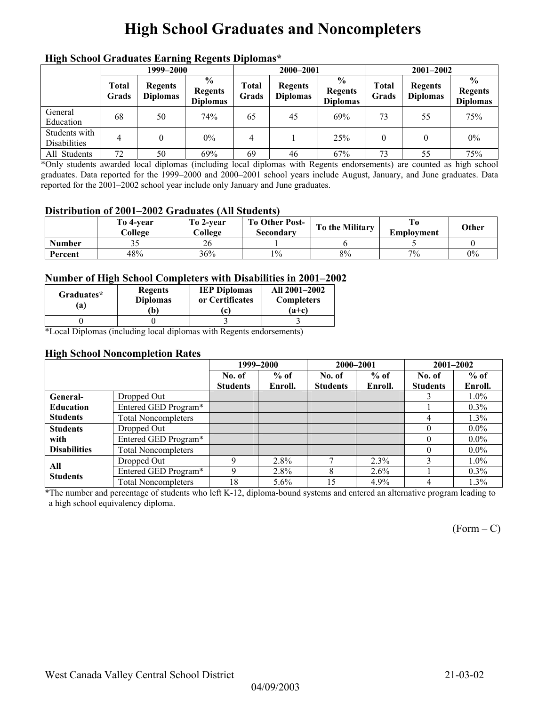## **High School Graduates and Noncompleters**

|                               | men senoor Graaaates Larming regents Dipromas<br>1999–2000 |                                   |                                                     |                | 2000-2001                         |                                                    | $2001 - 2002$  |                                   |                                                    |
|-------------------------------|------------------------------------------------------------|-----------------------------------|-----------------------------------------------------|----------------|-----------------------------------|----------------------------------------------------|----------------|-----------------------------------|----------------------------------------------------|
|                               | <b>Total</b><br>Grads                                      | <b>Regents</b><br><b>Diplomas</b> | $\frac{6}{10}$<br><b>Regents</b><br><b>Diplomas</b> | Total<br>Grads | <b>Regents</b><br><b>Diplomas</b> | $\frac{0}{0}$<br><b>Regents</b><br><b>Diplomas</b> | Total<br>Grads | <b>Regents</b><br><b>Diplomas</b> | $\frac{6}{9}$<br><b>Regents</b><br><b>Diplomas</b> |
| General<br>Education          | 68                                                         | 50                                | 74%                                                 | 65             | 45                                | 69%                                                | 73             | 55                                | 75%                                                |
| Students with<br>Disabilities | 4                                                          |                                   | $0\%$                                               | 4              |                                   | 25%                                                | $\theta$       |                                   | $0\%$                                              |
| All Students                  | 72                                                         | 50                                | 69%                                                 | 69             | 46                                | 67%                                                | 73             | 55                                | 75%                                                |

### **High School Graduates Earning Regents Diplomas\***

\*Only students awarded local diplomas (including local diplomas with Regents endorsements) are counted as high school graduates. Data reported for the 1999–2000 and 2000–2001 school years include August, January, and June graduates. Data reported for the 2001–2002 school year include only January and June graduates.

#### **Distribution of 2001–2002 Graduates (All Students)**

|               | To 4-vear<br>College | To 2-vear<br>College | <b>To Other Post-</b><br>Secondary | To the Military | Emplovment | Other |
|---------------|----------------------|----------------------|------------------------------------|-----------------|------------|-------|
| <b>Number</b> | ں ر                  | ZO                   |                                    |                 |            |       |
| Percent       | 48%                  | 36%                  | $1\%$                              | 8%              | $7\%$      | 0%    |

#### **Number of High School Completers with Disabilities in 2001–2002**

| Graduates*<br>'a) | <b>Regents</b><br><b>Diplomas</b><br>Ъ) | <b>IEP Diplomas</b><br>or Certificates<br>c | All 2001-2002<br><b>Completers</b><br>$(a+c)$ |
|-------------------|-----------------------------------------|---------------------------------------------|-----------------------------------------------|
|                   |                                         |                                             |                                               |

\*Local Diplomas (including local diplomas with Regents endorsements)

#### **High School Noncompletion Rates**

|                     |                            |                 | 1999-2000 | 2000-2001       |         |                 | 2001-2002 |
|---------------------|----------------------------|-----------------|-----------|-----------------|---------|-----------------|-----------|
|                     |                            | No. of          | $%$ of    | No. of          | $%$ of  | No. of          | $%$ of    |
|                     |                            | <b>Students</b> | Enroll.   | <b>Students</b> | Enroll. | <b>Students</b> | Enroll.   |
| General-            | Dropped Out                |                 |           |                 |         |                 | $1.0\%$   |
| <b>Education</b>    | Entered GED Program*       |                 |           |                 |         |                 | $0.3\%$   |
| <b>Students</b>     | <b>Total Noncompleters</b> |                 |           |                 |         | 4               | $1.3\%$   |
| <b>Students</b>     | Dropped Out                |                 |           |                 |         | $\theta$        | $0.0\%$   |
| with                | Entered GED Program*       |                 |           |                 |         | $\theta$        | $0.0\%$   |
| <b>Disabilities</b> | <b>Total Noncompleters</b> |                 |           |                 |         | $\theta$        | $0.0\%$   |
| All                 | Dropped Out                |                 | 2.8%      |                 | 2.3%    |                 | $1.0\%$   |
| <b>Students</b>     | Entered GED Program*       | $\mathbf Q$     | $2.8\%$   | 8               | $2.6\%$ |                 | $0.3\%$   |
|                     | <b>Total Noncompleters</b> | 18              | $5.6\%$   | 15              | 4.9%    | 4               | $1.3\%$   |

\*The number and percentage of students who left K-12, diploma-bound systems and entered an alternative program leading to a high school equivalency diploma.

 $(Form - C)$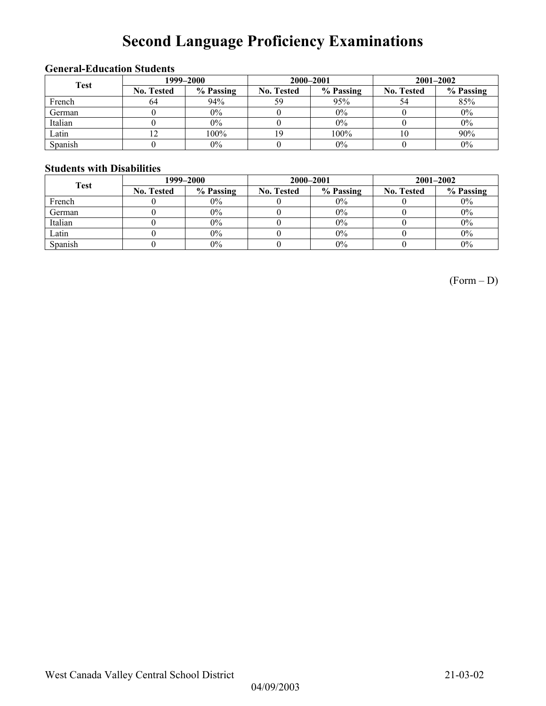# **Second Language Proficiency Examinations**

### **General-Education Students**

| <b>Test</b> | 1999–2000         |           |                   | 2000-2001 | $2001 - 2002$     |           |  |
|-------------|-------------------|-----------|-------------------|-----------|-------------------|-----------|--|
|             | <b>No. Tested</b> | % Passing | <b>No. Tested</b> | % Passing | <b>No. Tested</b> | % Passing |  |
| French      | 64                | 94%       | 59                | 95%       |                   | 85%       |  |
| German      |                   | 0%        |                   | $0\%$     |                   | $0\%$     |  |
| Italian     |                   | 0%        |                   | 0%        |                   | $0\%$     |  |
| Latin       | 14                | 100%      |                   | 100%      |                   | 90%       |  |
| Spanish     |                   | 0%        |                   | 0%        |                   | $0\%$     |  |

### **Students with Disabilities**

| <b>Test</b> |                   | 1999–2000 |                   | 2000-2001 | $2001 - 2002$     |           |  |
|-------------|-------------------|-----------|-------------------|-----------|-------------------|-----------|--|
|             | <b>No. Tested</b> | % Passing | <b>No. Tested</b> | % Passing | <b>No. Tested</b> | % Passing |  |
| French      |                   | $0\%$     |                   | $0\%$     |                   | $0\%$     |  |
| German      |                   | $0\%$     |                   | $0\%$     |                   | $0\%$     |  |
| Italian     |                   | $0\%$     |                   | $0\%$     |                   | $0\%$     |  |
| Latin       |                   | $0\%$     |                   | $0\%$     |                   | $0\%$     |  |
| Spanish     |                   | $0\%$     |                   | $0\%$     |                   | $0\%$     |  |

(Form – D)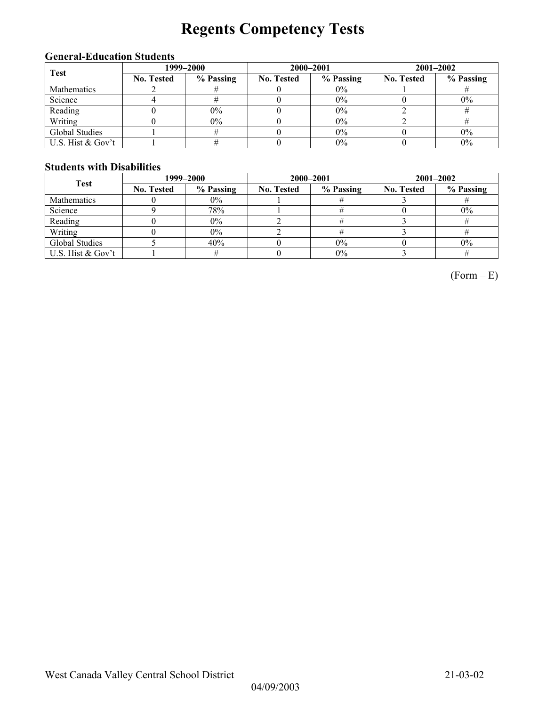# **Regents Competency Tests**

### **General-Education Students**

| <b>Test</b>       | 1999–2000         |           |                   | 2000-2001 | $2001 - 2002$     |           |  |
|-------------------|-------------------|-----------|-------------------|-----------|-------------------|-----------|--|
|                   | <b>No. Tested</b> | % Passing | <b>No. Tested</b> | % Passing | <b>No. Tested</b> | % Passing |  |
| Mathematics       |                   |           |                   | $0\%$     |                   |           |  |
| Science           |                   |           |                   | 0%        |                   | $0\%$     |  |
| Reading           |                   | $0\%$     |                   | 0%        |                   |           |  |
| Writing           |                   | $0\%$     |                   | $0\%$     |                   |           |  |
| Global Studies    |                   |           |                   | $0\%$     |                   | $0\%$     |  |
| U.S. Hist & Gov't |                   |           |                   | 0%        |                   | $0\%$     |  |

### **Students with Disabilities**

| <b>Test</b>       | 1999–2000         |           |                   | 2000-2001 | $2001 - 2002$     |           |  |
|-------------------|-------------------|-----------|-------------------|-----------|-------------------|-----------|--|
|                   | <b>No. Tested</b> | % Passing | <b>No. Tested</b> | % Passing | <b>No. Tested</b> | % Passing |  |
| Mathematics       |                   | $0\%$     |                   |           |                   |           |  |
| Science           |                   | 78%       |                   |           |                   | $0\%$     |  |
| Reading           |                   | $0\%$     |                   |           |                   |           |  |
| Writing           |                   | $0\%$     |                   |           |                   |           |  |
| Global Studies    |                   | 40%       |                   | $0\%$     |                   | $0\%$     |  |
| U.S. Hist & Gov't |                   |           |                   | $0\%$     |                   |           |  |

 $(Form - E)$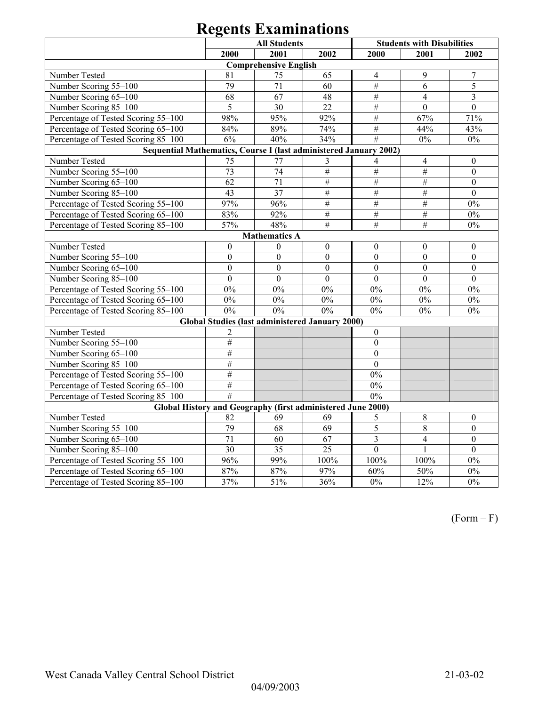|                                                                   | <b>Students with Disabilities</b> |                              |                                                        |                  |                  |                  |  |  |
|-------------------------------------------------------------------|-----------------------------------|------------------------------|--------------------------------------------------------|------------------|------------------|------------------|--|--|
|                                                                   | 2000                              | <b>All Students</b><br>2001  | 2002                                                   | 2000             | 2001             | 2002             |  |  |
|                                                                   |                                   | <b>Comprehensive English</b> |                                                        |                  |                  |                  |  |  |
| Number Tested                                                     | 81                                | 75                           | 65                                                     | $\overline{4}$   | 9                | $\overline{7}$   |  |  |
| Number Scoring 55-100                                             | 79                                | 71                           | 60                                                     | #                | 6                | 5                |  |  |
| Number Scoring 65-100                                             | 68                                | 67                           | 48                                                     | $\#$             | $\overline{4}$   | 3                |  |  |
| Number Scoring 85-100                                             | 5                                 | 30                           | 22                                                     | $\#$             | $\boldsymbol{0}$ | $\mathbf{0}$     |  |  |
| Percentage of Tested Scoring 55-100                               | 98%                               | 95%                          | 92%                                                    | $\#$             | 67%              | 71%              |  |  |
| Percentage of Tested Scoring 65-100                               | 84%                               | 89%                          | 74%                                                    | $\overline{\#}$  | 44%              | 43%              |  |  |
| Percentage of Tested Scoring 85-100                               | 6%                                | 40%                          | 34%                                                    | #                | $0\%$            | $0\%$            |  |  |
| Sequential Mathematics, Course I (last administered January 2002) |                                   |                              |                                                        |                  |                  |                  |  |  |
| Number Tested                                                     | 75                                | 77                           | 3                                                      | 4                | $\overline{4}$   | $\boldsymbol{0}$ |  |  |
| Number Scoring 55-100                                             | 73                                | 74                           | #                                                      | $\overline{\#}$  | $#$              | $\mathbf{0}$     |  |  |
| Number Scoring 65-100                                             | 62                                | $\overline{71}$              | $\#$                                                   | $\#$             | $\overline{\#}$  | $\boldsymbol{0}$ |  |  |
| Number Scoring 85-100                                             | 43                                | $\overline{37}$              | $\#$                                                   | $\#$             | $\#$             | $\boldsymbol{0}$ |  |  |
| Percentage of Tested Scoring 55-100                               | 97%                               | 96%                          | $\#$                                                   | $\#$             | $\#$             | $0\%$            |  |  |
| Percentage of Tested Scoring 65-100                               | 83%                               | 92%                          | $\#$                                                   | $\#$             | $\#$             | $0\%$            |  |  |
| Percentage of Tested Scoring 85-100                               | 57%                               | 48%                          | $\overline{\#}$                                        | $\frac{1}{2}$    | $\overline{\#}$  | $0\%$            |  |  |
|                                                                   |                                   | <b>Mathematics A</b>         |                                                        |                  |                  |                  |  |  |
| Number Tested                                                     | $\boldsymbol{0}$                  | $\theta$                     | $\boldsymbol{0}$                                       | $\mathbf{0}$     | $\boldsymbol{0}$ | $\boldsymbol{0}$ |  |  |
| Number Scoring 55-100                                             | $\mathbf{0}$                      | $\mathbf{0}$                 | $\mathbf{0}$                                           | $\mathbf{0}$     | $\mathbf{0}$     | $\mathbf{0}$     |  |  |
| Number Scoring 65-100                                             | $\mathbf{0}$                      | $\overline{0}$               | $\overline{0}$                                         | $\overline{0}$   | $\mathbf{0}$     | $\boldsymbol{0}$ |  |  |
| Number Scoring 85-100                                             | $\mathbf{0}$                      | $\overline{0}$               | $\overline{0}$                                         | $\mathbf{0}$     | $\mathbf{0}$     | $\mathbf{0}$     |  |  |
| Percentage of Tested Scoring 55-100                               | $0\%$                             | $0\%$                        | $0\%$                                                  | $0\%$            | $0\%$            | $0\%$            |  |  |
| Percentage of Tested Scoring 65-100                               | $0\%$                             | $0\%$                        | $0\%$                                                  | $0\%$            | $0\%$            | $0\%$            |  |  |
| Percentage of Tested Scoring 85-100                               | 0%                                | 0%                           | 0%                                                     | $0\%$            | $0\%$            | $0\%$            |  |  |
|                                                                   |                                   |                              | <b>Global Studies (last administered January 2000)</b> |                  |                  |                  |  |  |
| Number Tested                                                     | 2                                 |                              |                                                        | $\mathbf{0}$     |                  |                  |  |  |
| Number Scoring 55-100                                             | $\overline{\#}$                   |                              |                                                        | $\boldsymbol{0}$ |                  |                  |  |  |
| Number Scoring 65-100                                             | #                                 |                              |                                                        | $\boldsymbol{0}$ |                  |                  |  |  |
| Number Scoring 85-100                                             | #                                 |                              |                                                        | $\overline{0}$   |                  |                  |  |  |
| Percentage of Tested Scoring 55-100                               | #                                 |                              |                                                        | $0\%$            |                  |                  |  |  |
| Percentage of Tested Scoring 65-100                               | #                                 |                              |                                                        | $0\%$            |                  |                  |  |  |
| Percentage of Tested Scoring 85-100                               | #                                 |                              |                                                        | 0%               |                  |                  |  |  |
| Global History and Geography (first administered June 2000)       |                                   |                              |                                                        |                  |                  |                  |  |  |
| Number Tested                                                     | 82                                | 69                           | 69                                                     | 5                | $8\phantom{.0}$  | $\mathbf{0}$     |  |  |
| Number Scoring 55-100                                             | 79                                | 68                           | 69                                                     | 5                | $\overline{8}$   | $\boldsymbol{0}$ |  |  |
| Number Scoring 65-100                                             | 71                                | 60                           | $\overline{67}$                                        | $\overline{3}$   | $\overline{4}$   | $\overline{0}$   |  |  |
| Number Scoring 85-100                                             | 30                                | $\overline{35}$              | $\overline{25}$                                        | $\overline{0}$   | $\mathbf{1}$     | $\overline{0}$   |  |  |
| Percentage of Tested Scoring 55-100                               | 96%                               | 99%                          | 100%                                                   | 100%             | 100%             | 0%               |  |  |
| Percentage of Tested Scoring 65-100                               | $87\%$                            | $87\%$                       | 97%                                                    | 60%              | 50%              | $0\%$            |  |  |
| Percentage of Tested Scoring 85-100                               | 37%                               | 51%                          | 36%                                                    | $0\%$            | 12%              | 0%               |  |  |

 $(Form - F)$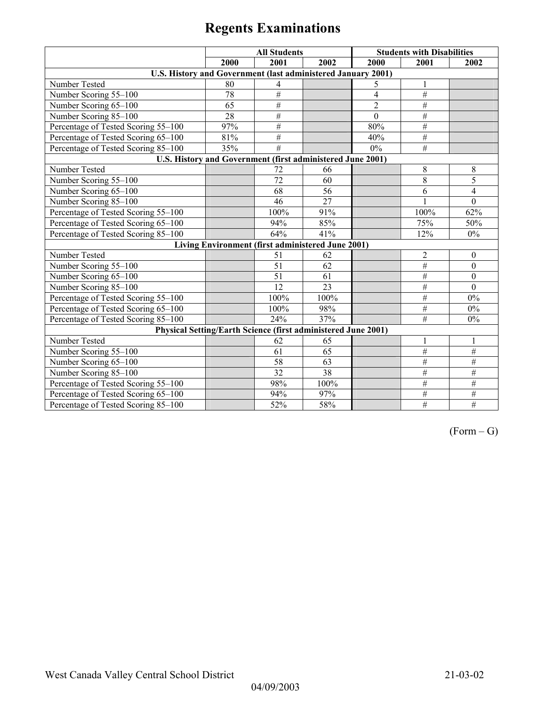|                                                               | <b>All Students</b> |                                                   |                 | <b>Students with Disabilities</b> |                 |                  |  |  |
|---------------------------------------------------------------|---------------------|---------------------------------------------------|-----------------|-----------------------------------|-----------------|------------------|--|--|
|                                                               | 2000                | 2001                                              | 2002            | 2000                              | 2001            | 2002             |  |  |
| U.S. History and Government (last administered January 2001)  |                     |                                                   |                 |                                   |                 |                  |  |  |
| Number Tested                                                 | 80                  | 4                                                 |                 | 5                                 | 1               |                  |  |  |
| Number Scoring 55-100                                         | 78                  | $\overline{\#}$                                   |                 | $\overline{4}$                    | #               |                  |  |  |
| Number Scoring 65-100                                         | 65                  | $\overline{\#}$                                   |                 | $\overline{2}$                    | $\#$            |                  |  |  |
| Number Scoring 85-100                                         | 28                  | #                                                 |                 | $\mathbf{0}$                      | $\overline{\#}$ |                  |  |  |
| Percentage of Tested Scoring 55-100                           | 97%                 | #                                                 |                 | 80%                               | #               |                  |  |  |
| Percentage of Tested Scoring 65-100                           | 81%                 | $\#$                                              |                 | 40%                               | $\#$            |                  |  |  |
| Percentage of Tested Scoring 85-100                           | 35%                 | #                                                 |                 | $0\%$                             | #               |                  |  |  |
| U.S. History and Government (first administered June 2001)    |                     |                                                   |                 |                                   |                 |                  |  |  |
| Number Tested                                                 |                     | 72                                                | 66              |                                   | 8               | 8                |  |  |
| Number Scoring 55-100                                         |                     | 72                                                | 60              |                                   | 8               | 5                |  |  |
| Number Scoring 65-100                                         |                     | 68                                                | 56              |                                   | 6               | $\overline{4}$   |  |  |
| Number Scoring 85-100                                         |                     | 46                                                | $\overline{27}$ |                                   |                 | $\mathbf{0}$     |  |  |
| Percentage of Tested Scoring 55-100                           |                     | 100%                                              | 91%             |                                   | 100%            | 62%              |  |  |
| Percentage of Tested Scoring 65-100                           |                     | 94%                                               | 85%             |                                   | 75%             | 50%              |  |  |
| Percentage of Tested Scoring 85-100                           |                     | 64%                                               | 41%             |                                   | 12%             | $0\%$            |  |  |
|                                                               |                     | Living Environment (first administered June 2001) |                 |                                   |                 |                  |  |  |
| Number Tested                                                 |                     | 51                                                | 62              |                                   | $\overline{2}$  | $\boldsymbol{0}$ |  |  |
| Number Scoring 55-100                                         |                     | 51                                                | 62              |                                   | $\#$            | $\mathbf{0}$     |  |  |
| Number Scoring 65-100                                         |                     | 51                                                | 61              |                                   | $\overline{\#}$ | $\theta$         |  |  |
| Number Scoring 85-100                                         |                     | $\overline{12}$                                   | 23              |                                   | $\#$            | $\Omega$         |  |  |
| Percentage of Tested Scoring 55-100                           |                     | 100%                                              | 100%            |                                   | $\#$            | $0\%$            |  |  |
| Percentage of Tested Scoring 65-100                           |                     | 100%                                              | 98%             |                                   | $\#$            | $0\%$            |  |  |
| Percentage of Tested Scoring 85-100                           |                     | 24%                                               | 37%             |                                   | $\overline{\#}$ | $0\%$            |  |  |
| Physical Setting/Earth Science (first administered June 2001) |                     |                                                   |                 |                                   |                 |                  |  |  |
| Number Tested                                                 |                     | 62                                                | 65              |                                   | 1               | 1                |  |  |
| Number Scoring 55-100                                         |                     | 61                                                | 65              |                                   | $\overline{\#}$ | $#$              |  |  |
| Number Scoring 65-100                                         |                     | 58                                                | 63              |                                   | $\#$            | $\#$             |  |  |
| Number Scoring 85-100                                         |                     | 32                                                | 38              |                                   | $\overline{\#}$ | #                |  |  |
| Percentage of Tested Scoring 55-100                           |                     | 98%                                               | 100%            |                                   | $\#$            | $\#$             |  |  |
| Percentage of Tested Scoring 65-100                           |                     | 94%                                               | 97%             |                                   | $\#$            | $\overline{\#}$  |  |  |
| Percentage of Tested Scoring 85-100                           |                     | 52%                                               | 58%             |                                   | $\#$            | #                |  |  |

 $(Form - G)$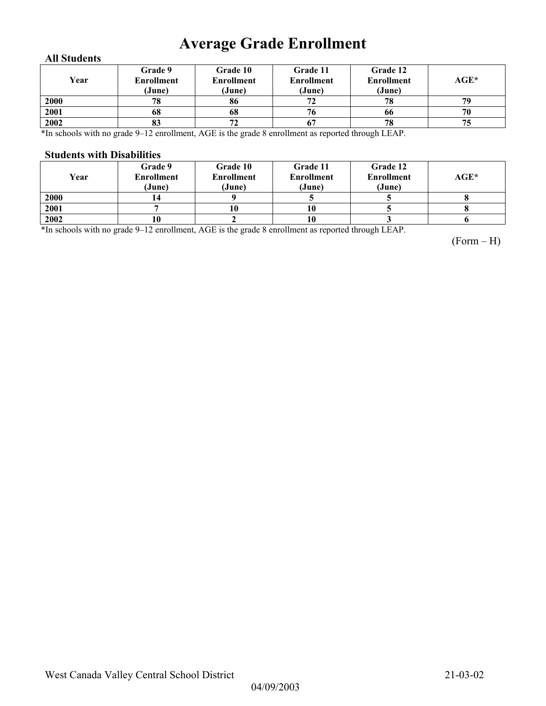## **Average Grade Enrollment**

#### **All Students**

| Year | Grade 9<br>Enrollment<br>(June) | <b>Grade 10</b><br><b>Enrollment</b><br>(June) | Grade 11<br><b>Enrollment</b><br>(June) | Grade 12<br><b>Enrollment</b><br>(June) | AGE* |
|------|---------------------------------|------------------------------------------------|-----------------------------------------|-----------------------------------------|------|
| 2000 | 78                              | 86                                             | 72                                      | 78                                      | 79   |
| 2001 | 68                              | 68                                             | 76                                      | 66                                      | 70   |
| 2002 | 83                              | 72                                             |                                         | 78                                      | 75   |

\*In schools with no grade 9–12 enrollment, AGE is the grade 8 enrollment as reported through LEAP.

#### **Students with Disabilities**

| Year | Grade 9<br><b>Enrollment</b><br>(June) | Grade 10<br><b>Enrollment</b><br>(June) | Grade 11<br><b>Enrollment</b><br>(June) | Grade 12<br><b>Enrollment</b><br>(June) | $AGE^*$ |
|------|----------------------------------------|-----------------------------------------|-----------------------------------------|-----------------------------------------|---------|
| 2000 |                                        |                                         |                                         |                                         |         |
| 2001 |                                        |                                         | 10                                      |                                         |         |
| 2002 |                                        |                                         | 10                                      |                                         |         |

\*In schools with no grade 9–12 enrollment, AGE is the grade 8 enrollment as reported through LEAP.

(Form – H)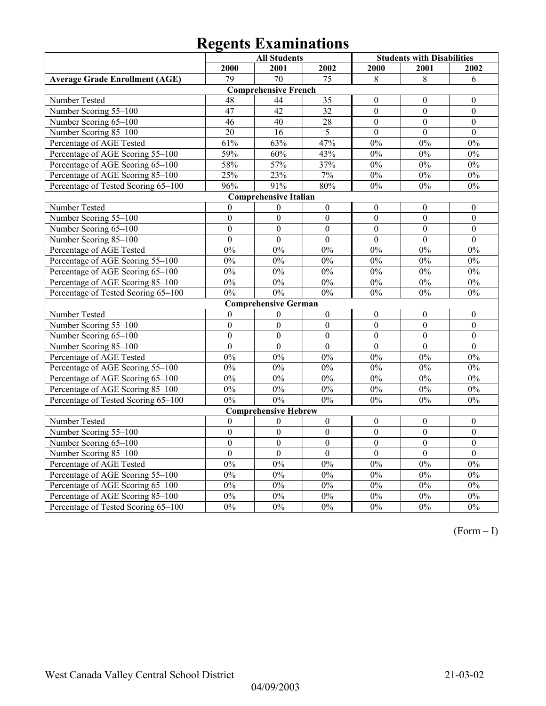|                                       | <b>All Students</b> |                              |                  | <b>Students with Disabilities</b> |                  |                  |
|---------------------------------------|---------------------|------------------------------|------------------|-----------------------------------|------------------|------------------|
|                                       | 2000                | 2001                         | 2002             | 2000                              | 2001             | 2002             |
| <b>Average Grade Enrollment (AGE)</b> | 79                  | $\overline{70}$              | 75               | 8                                 | 8                | 6                |
|                                       |                     | <b>Comprehensive French</b>  |                  |                                   |                  |                  |
| Number Tested                         | 48                  | 44                           | 35               | $\theta$                          | $\mathbf{0}$     | $\mathbf{0}$     |
| Number Scoring 55-100                 | 47                  | 42                           | $\overline{32}$  | $\overline{0}$                    | $\overline{0}$   | $\boldsymbol{0}$ |
| Number Scoring 65-100                 | 46                  | $\overline{40}$              | $\overline{28}$  | $\overline{0}$                    | $\overline{0}$   | $\boldsymbol{0}$ |
| Number Scoring 85-100                 | $\overline{20}$     | 16                           | 5                | $\theta$                          | $\theta$         | $\theta$         |
| Percentage of AGE Tested              | 61%                 | 63%                          | 47%              | $0\%$                             | $0\%$            | $0\%$            |
| Percentage of AGE Scoring 55-100      | 59%                 | 60%                          | 43%              | 0%                                | 0%               | 0%               |
| Percentage of AGE Scoring 65-100      | 58%                 | 57%                          | 37%              | 0%                                | 0%               | 0%               |
| Percentage of AGE Scoring 85-100      | 25%                 | 23%                          | 7%               | $0\%$                             | $0\%$            | $0\%$            |
| Percentage of Tested Scoring 65-100   | 96%                 | 91%                          | 80%              | 0%                                | 0%               | 0%               |
|                                       |                     | <b>Comprehensive Italian</b> |                  |                                   |                  |                  |
| Number Tested                         | $\boldsymbol{0}$    | $\boldsymbol{0}$             | $\boldsymbol{0}$ | $\boldsymbol{0}$                  | $\boldsymbol{0}$ | $\boldsymbol{0}$ |
| Number Scoring 55-100                 | $\boldsymbol{0}$    | $\boldsymbol{0}$             | $\boldsymbol{0}$ | $\boldsymbol{0}$                  | $\boldsymbol{0}$ | $\boldsymbol{0}$ |
| Number Scoring 65-100                 | $\overline{0}$      | $\overline{0}$               | $\overline{0}$   | $\overline{0}$                    | $\overline{0}$   | $\overline{0}$   |
| Number Scoring 85-100                 | $\overline{0}$      | $\overline{0}$               | $\overline{0}$   | $\overline{0}$                    | $\overline{0}$   | $\overline{0}$   |
| Percentage of AGE Tested              | 0%                  | 0%                           | 0%               | 0%                                | 0%               | 0%               |
| Percentage of AGE Scoring 55-100      | 0%                  | 0%                           | 0%               | 0%                                | 0%               | 0%               |
| Percentage of AGE Scoring 65-100      | $0\%$               | 0%                           | 0%               | 0%                                | 0%               | 0%               |
| Percentage of AGE Scoring 85-100      | $0\%$               | $0\%$                        | $0\%$            | $0\%$                             | $0\%$            | $0\%$            |
| Percentage of Tested Scoring 65-100   | $0\%$               | 0%                           | $0\%$            | 0%                                | $0\%$            | $0\%$            |
|                                       |                     | <b>Comprehensive German</b>  |                  |                                   |                  |                  |
| Number Tested                         | $\boldsymbol{0}$    | $\boldsymbol{0}$             | $\boldsymbol{0}$ | $\boldsymbol{0}$                  | $\boldsymbol{0}$ | $\boldsymbol{0}$ |
| Number Scoring 55-100                 | $\mathbf{0}$        | $\mathbf{0}$                 | $\overline{0}$   | $\overline{0}$                    | $\boldsymbol{0}$ | $\boldsymbol{0}$ |
| Number Scoring 65-100                 | $\boldsymbol{0}$    | $\boldsymbol{0}$             | $\boldsymbol{0}$ | $\boldsymbol{0}$                  | $\boldsymbol{0}$ | $\boldsymbol{0}$ |
| Number Scoring 85-100                 | $\overline{0}$      | $\overline{0}$               | $\overline{0}$   | $\theta$                          | $\overline{0}$   | $\overline{0}$   |
| Percentage of AGE Tested              | 0%                  | 0%                           | 0%               | 0%                                | 0%               | 0%               |
| Percentage of AGE Scoring 55-100      | $0\%$               | $0\%$                        | $0\%$            | $0\%$                             | $0\%$            | $0\%$            |
| Percentage of AGE Scoring 65-100      | 0%                  | 0%                           | 0%               | 0%                                | $0\%$            | $0\%$            |
| Percentage of AGE Scoring 85-100      | 0%                  | 0%                           | 0%               | 0%                                | 0%               | 0%               |
| Percentage of Tested Scoring 65-100   | 0%                  | 0%                           | 0%               | 0%                                | 0%               | $0\%$            |
|                                       |                     | <b>Comprehensive Hebrew</b>  |                  |                                   |                  |                  |
| Number Tested                         | $\theta$            | $\theta$                     | $\boldsymbol{0}$ | $\boldsymbol{0}$                  | $\boldsymbol{0}$ | $\boldsymbol{0}$ |
| Number Scoring 55-100                 | $\boldsymbol{0}$    | $\overline{0}$               | $\overline{0}$   | $\boldsymbol{0}$                  | $\boldsymbol{0}$ | $\boldsymbol{0}$ |
| Number Scoring 65-100                 | $\overline{0}$      | $\overline{0}$               | $\boldsymbol{0}$ | $\overline{0}$                    | $\boldsymbol{0}$ | $\overline{0}$   |
| Number Scoring 85-100                 | $\overline{0}$      | $\overline{0}$               | $\overline{0}$   | $\overline{0}$                    | $\overline{0}$   | $\overline{0}$   |
| Percentage of AGE Tested              | 0%                  | 0%                           | 0%               | 0%                                | 0%               | 0%               |
| Percentage of AGE Scoring 55-100      | 0%                  | 0%                           | 0%               | 0%                                | 0%               | 0%               |
| Percentage of AGE Scoring 65-100      | $\overline{0\%}$    | $0\%$                        | 0%               | 0%                                | $\overline{0\%}$ | $0\%$            |
| Percentage of AGE Scoring 85-100      | $0\%$               | $\overline{0}$ %             | $0\%$            | $0\%$                             | $0\%$            | $0\%$            |
| Percentage of Tested Scoring 65-100   | 0%                  | 0%                           | 0%               | 0%                                | 0%               | $\overline{0\%}$ |

(Form – I)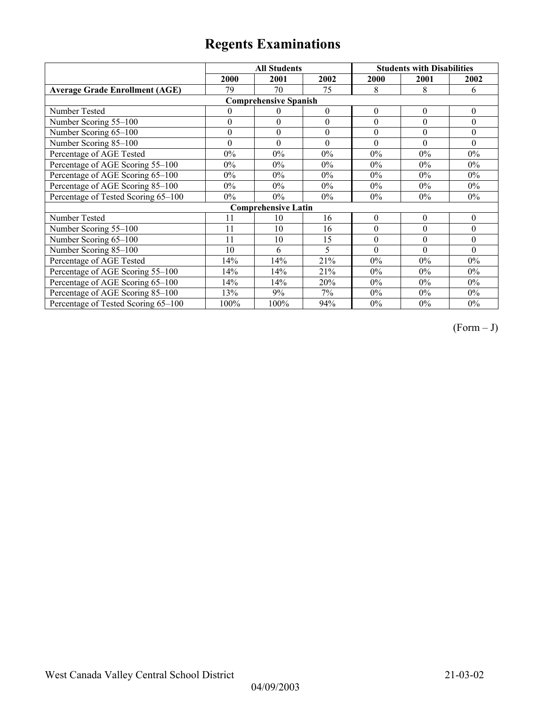|                                       | <b>All Students</b> |                            |                  | <b>Students with Disabilities</b> |                  |                  |  |  |
|---------------------------------------|---------------------|----------------------------|------------------|-----------------------------------|------------------|------------------|--|--|
|                                       | 2000                | 2001                       | 2002             | 2000                              | 2001             | 2002             |  |  |
| <b>Average Grade Enrollment (AGE)</b> | 79                  | 70                         | 75               | 8                                 | 8                | 6                |  |  |
| <b>Comprehensive Spanish</b>          |                     |                            |                  |                                   |                  |                  |  |  |
| Number Tested                         | $\theta$            | $\theta$                   | $\boldsymbol{0}$ | $\boldsymbol{0}$                  | $\boldsymbol{0}$ | $\boldsymbol{0}$ |  |  |
| Number Scoring 55-100                 | $\boldsymbol{0}$    | $\theta$                   | $\theta$         | $\theta$                          | $\theta$         | $\theta$         |  |  |
| Number Scoring 65-100                 | $\boldsymbol{0}$    | $\boldsymbol{0}$           | $\theta$         | $\theta$                          | $\theta$         | $\theta$         |  |  |
| Number Scoring 85-100                 | $\theta$            | $\theta$                   | $\theta$         | $\theta$                          | $\theta$         | $\theta$         |  |  |
| Percentage of AGE Tested              | $0\%$               | $0\%$                      | $0\%$            | $0\%$                             | $0\%$            | $0\%$            |  |  |
| Percentage of AGE Scoring 55-100      | $0\%$               | $0\%$                      | $0\%$            | $0\%$                             | $0\%$            | $0\%$            |  |  |
| Percentage of AGE Scoring 65-100      | $0\%$               | $0\%$                      | $0\%$            | $0\%$                             | $0\%$            | $0\%$            |  |  |
| Percentage of AGE Scoring 85-100      | $0\%$               | $0\%$                      | $0\%$            | 0%                                | $0\%$            | $0\%$            |  |  |
| Percentage of Tested Scoring 65-100   | $0\%$               | $0\%$                      | $0\%$            | 0%                                | $0\%$            | $0\%$            |  |  |
|                                       |                     | <b>Comprehensive Latin</b> |                  |                                   |                  |                  |  |  |
| Number Tested                         | 11                  | 10                         | 16               | $\boldsymbol{0}$                  | $\boldsymbol{0}$ | $\boldsymbol{0}$ |  |  |
| Number Scoring 55-100                 | 11                  | 10                         | 16               | $\theta$                          | $\theta$         | $\theta$         |  |  |
| Number Scoring $65-100$               | 11                  | 10                         | 15               | $\boldsymbol{0}$                  | $\theta$         | $\theta$         |  |  |
| Number Scoring 85-100                 | 10                  | 6                          | $\varsigma$      | $\theta$                          | $\theta$         | $\Omega$         |  |  |
| Percentage of AGE Tested              | 14%                 | 14%                        | 21%              | $0\%$                             | $0\%$            | $0\%$            |  |  |
| Percentage of AGE Scoring 55-100      | 14%                 | 14%                        | 21%              | $0\%$                             | $0\%$            | $0\%$            |  |  |
| Percentage of AGE Scoring 65-100      | 14%                 | 14%                        | 20%              | 0%                                | $0\%$            | $0\%$            |  |  |
| Percentage of AGE Scoring 85-100      | 13%                 | 9%                         | 7%               | 0%                                | $0\%$            | $0\%$            |  |  |
| Percentage of Tested Scoring 65-100   | 100%                | 100%                       | 94%              | $0\%$                             | $0\%$            | $0\%$            |  |  |

 $(Form - J)$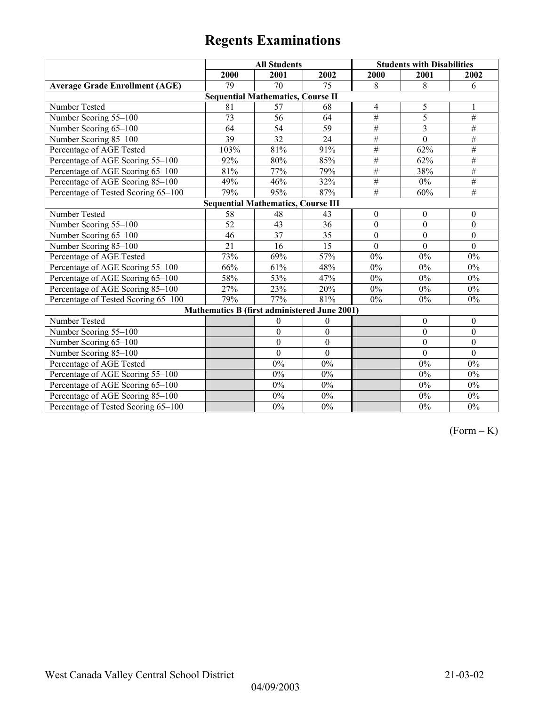|                                           | <b>All Students</b>                                 |                  |                  | <b>Students with Disabilities</b> |                  |                  |  |  |
|-------------------------------------------|-----------------------------------------------------|------------------|------------------|-----------------------------------|------------------|------------------|--|--|
|                                           | 2000                                                | 2001             | 2002             | 2000                              | 2001             | 2002             |  |  |
| <b>Average Grade Enrollment (AGE)</b>     | 79                                                  | 70               | 75               | 8                                 | 8                | 6                |  |  |
|                                           | <b>Sequential Mathematics, Course II</b>            |                  |                  |                                   |                  |                  |  |  |
| Number Tested                             | 81                                                  | 57               | 68               | $\overline{4}$                    | 5                |                  |  |  |
| Number Scoring 55-100                     | 73                                                  | 56               | 64               | $\#$                              | 5                | #                |  |  |
| Number Scoring 65-100                     | 64                                                  | 54               | 59               | $\#$                              | 3                | $\#$             |  |  |
| Number Scoring 85-100                     | 39                                                  | $\overline{32}$  | 24               | $\#$                              | $\overline{0}$   | $\#$             |  |  |
| Percentage of AGE Tested                  | 103%                                                | 81%              | 91%              | $\overline{\#}$                   | 62%              | $\#$             |  |  |
| Percentage of AGE Scoring 55-100          | 92%                                                 | 80%              | 85%              | #                                 | 62%              | #                |  |  |
| Percentage of AGE Scoring 65-100          | 81%                                                 | 77%              | 79%              | $\overline{\#}$                   | 38%              | $\overline{\#}$  |  |  |
| Percentage of AGE Scoring 85-100          | $\frac{1}{49%}$                                     | 46%              | 32%              | $\#$                              | $0\%$            | $\#$             |  |  |
| Percentage of Tested Scoring 65-100       | 79%                                                 | 95%              | 87%              | $\overline{H}$                    | 60%              | #                |  |  |
| <b>Sequential Mathematics, Course III</b> |                                                     |                  |                  |                                   |                  |                  |  |  |
| Number Tested                             | 58                                                  | 48               | 43               | $\mathbf{0}$                      | $\boldsymbol{0}$ | $\boldsymbol{0}$ |  |  |
| Number Scoring 55-100                     | $\overline{52}$                                     | 43               | $\overline{36}$  | $\mathbf{0}$                      | $\mathbf{0}$     | $\mathbf{0}$     |  |  |
| Number Scoring 65-100                     | 46                                                  | $\overline{37}$  | 35               | $\theta$                          | $\mathbf{0}$     | $\boldsymbol{0}$ |  |  |
| Number Scoring 85-100                     | 21                                                  | 16               | 15               | $\mathbf{0}$                      | $\mathbf{0}$     | $\overline{0}$   |  |  |
| Percentage of AGE Tested                  | 73%                                                 | 69%              | 57%              | $0\%$                             | $0\%$            | $0\%$            |  |  |
| Percentage of AGE Scoring 55-100          | 66%                                                 | 61%              | 48%              | $0\%$                             | $0\%$            | $0\%$            |  |  |
| Percentage of AGE Scoring 65-100          | 58%                                                 | 53%              | 47%              | $0\%$                             | $0\%$            | $0\%$            |  |  |
| Percentage of AGE Scoring 85-100          | 27%                                                 | 23%              | 20%              | $0\%$                             | $0\%$            | $0\%$            |  |  |
| Percentage of Tested Scoring 65-100       | 79%                                                 | 77%              | 81%              | $0\%$                             | $0\%$            | $0\%$            |  |  |
|                                           | <b>Mathematics B (first administered June 2001)</b> |                  |                  |                                   |                  |                  |  |  |
| Number Tested                             |                                                     | $\theta$         | $\mathbf{0}$     |                                   | $\mathbf{0}$     | $\mathbf{0}$     |  |  |
| Number Scoring 55-100                     |                                                     | $\mathbf{0}$     | $\mathbf{0}$     |                                   | $\mathbf{0}$     | $\mathbf{0}$     |  |  |
| Number Scoring 65-100                     |                                                     | $\boldsymbol{0}$ | $\boldsymbol{0}$ |                                   | $\mathbf{0}$     | $\boldsymbol{0}$ |  |  |
| Number Scoring 85-100                     |                                                     | $\theta$         | $\mathbf{0}$     |                                   | $\Omega$         | $\mathbf{0}$     |  |  |
| Percentage of AGE Tested                  |                                                     | 0%               | 0%               |                                   | $0\%$            | $0\%$            |  |  |
| Percentage of AGE Scoring 55-100          |                                                     | 0%               | 0%               |                                   | $0\%$            | $0\%$            |  |  |
| Percentage of AGE Scoring 65-100          |                                                     | 0%               | 0%               |                                   | $0\%$            | $0\%$            |  |  |
| Percentage of AGE Scoring 85-100          |                                                     | $0\%$            | $0\%$            |                                   | $0\%$            | $0\%$            |  |  |
| Percentage of Tested Scoring 65-100       |                                                     | $0\%$            | $0\%$            |                                   | $0\%$            | $0\%$            |  |  |

 $(Form - K)$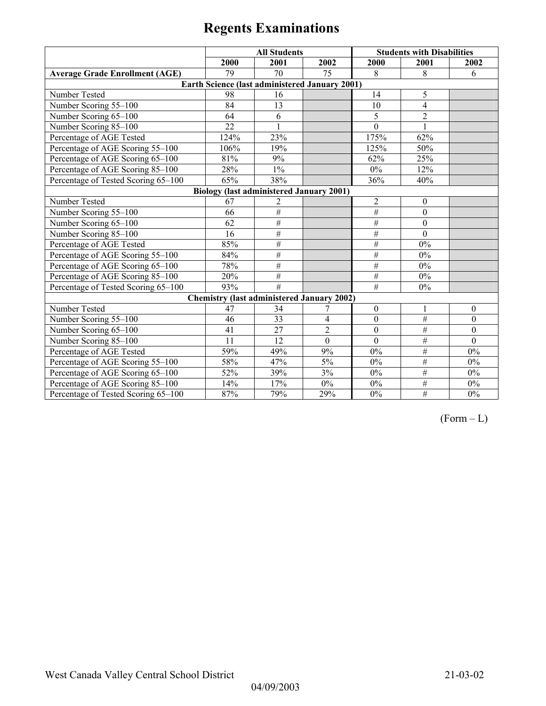|                                       | <b>All Students</b> |                                                   |                | <b>Students with Disabilities</b> |                  |              |
|---------------------------------------|---------------------|---------------------------------------------------|----------------|-----------------------------------|------------------|--------------|
|                                       | 2000                | 2001                                              | 2002           | 2000                              | 2001             | 2002         |
| <b>Average Grade Enrollment (AGE)</b> | 79                  | 70                                                | 75             | 8                                 | 8                | 6            |
|                                       |                     | Earth Science (last administered January 2001)    |                |                                   |                  |              |
| Number Tested                         | 98                  | 16                                                |                | 14                                | 5                |              |
| Number Scoring 55-100                 | 84                  | 13                                                |                | 10                                | $\overline{4}$   |              |
| Number Scoring 65-100                 | 64                  | 6                                                 |                | 5                                 | $\overline{2}$   |              |
| Number Scoring 85-100                 | 22                  |                                                   |                | $\theta$                          |                  |              |
| Percentage of AGE Tested              | 124%                | 23%                                               |                | 175%                              | 62%              |              |
| Percentage of AGE Scoring 55-100      | 106%                | 19%                                               |                | 125%                              | 50%              |              |
| Percentage of AGE Scoring 65-100      | 81%                 | 9%                                                |                | 62%                               | 25%              |              |
| Percentage of AGE Scoring 85-100      | 28%                 | $1\%$                                             |                | $0\%$                             | 12%              |              |
| Percentage of Tested Scoring 65-100   | 65%                 | 38%                                               |                | 36%                               | 40%              |              |
|                                       |                     | <b>Biology (last administered January 2001)</b>   |                |                                   |                  |              |
| Number Tested                         | 67                  | 2                                                 |                | $\overline{2}$                    | $\boldsymbol{0}$ |              |
| Number Scoring 55-100                 | 66                  | #                                                 |                | #                                 | $\mathbf{0}$     |              |
| Number Scoring 65-100                 | 62                  | $\bar{t}$                                         |                | $\#$                              | $\mathbf{0}$     |              |
| Number Scoring 85-100                 | 16                  | #                                                 |                | #                                 | $\mathbf{0}$     |              |
| Percentage of AGE Tested              | 85%                 | #                                                 |                | #                                 | $0\%$            |              |
| Percentage of AGE Scoring 55-100      | 84%                 | $\#$                                              |                | #                                 | $0\%$            |              |
| Percentage of AGE Scoring 65-100      | 78%                 | #                                                 |                | #                                 | $0\%$            |              |
| Percentage of AGE Scoring 85-100      | 20%                 | #                                                 |                | #                                 | $0\%$            |              |
| Percentage of Tested Scoring 65-100   | 93%                 | #                                                 |                | #                                 | $0\%$            |              |
|                                       |                     | <b>Chemistry (last administered January 2002)</b> |                |                                   |                  |              |
| Number Tested                         | 47                  | 34                                                | 7              | $\theta$                          | 1                | $\theta$     |
| Number Scoring 55-100                 | 46                  | 33                                                | 4              | $\mathbf{0}$                      | #                | $\theta$     |
| Number Scoring 65-100                 | 41                  | 27                                                | $\overline{2}$ | $\mathbf{0}$                      | #                | $\mathbf{0}$ |
| Number Scoring 85-100                 | 11                  | 12                                                | $\mathbf{0}$   | $\mathbf{0}$                      | $\overline{\#}$  | $\mathbf{0}$ |
| Percentage of AGE Tested              | 59%                 | 49%                                               | 9%             | $0\%$                             | $\#$             | 0%           |
| Percentage of AGE Scoring 55-100      | 58%                 | 47%                                               | 5%             | 0%                                | #                | $0\%$        |
| Percentage of AGE Scoring 65-100      | 52%                 | 39%                                               | 3%             | $0\%$                             | #                | 0%           |
| Percentage of AGE Scoring 85-100      | 14%                 | 17%                                               | $0\%$          | $0\%$                             | #                | $0\%$        |
| Percentage of Tested Scoring 65-100   | 87%                 | 79%                                               | 29%            | $0\%$                             | $\#$             | $0\%$        |

 $(Form - L)$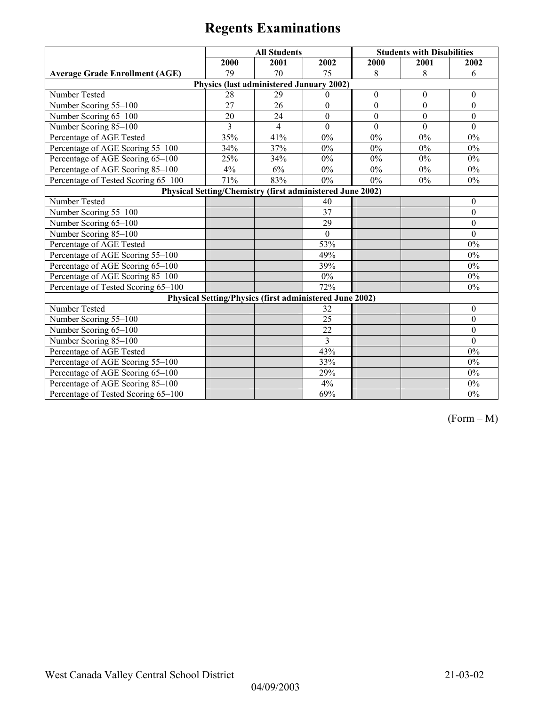|                                       | <b>All Students</b> |                                                           |              |              | <b>Students with Disabilities</b> |              |
|---------------------------------------|---------------------|-----------------------------------------------------------|--------------|--------------|-----------------------------------|--------------|
|                                       | 2000                | 2001                                                      | 2002         | 2000         | 2001                              | 2002         |
| <b>Average Grade Enrollment (AGE)</b> | 79                  | 70                                                        | 75           | 8            | 8                                 | 6            |
|                                       |                     | Physics (last administered January 2002)                  |              |              |                                   |              |
| Number Tested                         | 28                  | 29                                                        | $\Omega$     | $\mathbf{0}$ | $\theta$                          | $\theta$     |
| Number Scoring 55-100                 | 27                  | 26                                                        | $\mathbf{0}$ | $\mathbf{0}$ | $\theta$                          | $\theta$     |
| Number Scoring 65-100                 | 20                  | 24                                                        | $\theta$     | $\theta$     | $\theta$                          | $\theta$     |
| Number Scoring 85-100                 | 3                   | $\overline{4}$                                            | $\theta$     | $\Omega$     | $\Omega$                          | $\theta$     |
| Percentage of AGE Tested              | 35%                 | 41%                                                       | $0\%$        | 0%           | $0\%$                             | $0\%$        |
| Percentage of AGE Scoring 55-100      | 34%                 | 37%                                                       | 0%           | 0%           | $0\%$                             | $0\%$        |
| Percentage of AGE Scoring 65-100      | 25%                 | 34%                                                       | $0\%$        | 0%           | $0\%$                             | $0\%$        |
| Percentage of AGE Scoring 85-100      | 4%                  | 6%                                                        | $0\%$        | 0%           | $0\%$                             | $0\%$        |
| Percentage of Tested Scoring 65-100   | 71%                 | 83%                                                       | $0\%$        | $0\%$        | $0\%$                             | 0%           |
|                                       |                     | Physical Setting/Chemistry (first administered June 2002) |              |              |                                   |              |
| Number Tested                         |                     |                                                           | 40           |              |                                   | $\mathbf{0}$ |
| Number Scoring 55-100                 |                     |                                                           | 37           |              |                                   | $\theta$     |
| Number Scoring 65-100                 |                     |                                                           | 29           |              |                                   | $\Omega$     |
| Number Scoring 85-100                 |                     |                                                           | $\theta$     |              |                                   | $\theta$     |
| Percentage of AGE Tested              |                     |                                                           | 53%          |              |                                   | $0\%$        |
| Percentage of AGE Scoring 55-100      |                     |                                                           | 49%          |              |                                   | $0\%$        |
| Percentage of AGE Scoring 65-100      |                     |                                                           | 39%          |              |                                   | $0\%$        |
| Percentage of AGE Scoring 85-100      |                     |                                                           | $0\%$        |              |                                   | $0\%$        |
| Percentage of Tested Scoring 65-100   |                     |                                                           | 72%          |              |                                   | $0\%$        |
|                                       |                     | Physical Setting/Physics (first administered June 2002)   |              |              |                                   |              |
| Number Tested                         |                     |                                                           | 32           |              |                                   | $\theta$     |
| Number Scoring 55-100                 |                     |                                                           | 25           |              |                                   | $\mathbf{0}$ |
| Number Scoring 65-100                 |                     |                                                           | 22           |              |                                   | $\theta$     |
| Number Scoring 85-100                 |                     |                                                           | 3            |              |                                   | $\theta$     |
| Percentage of AGE Tested              |                     |                                                           | 43%          |              |                                   | $0\%$        |
| Percentage of AGE Scoring 55-100      |                     |                                                           | 33%          |              |                                   | $0\%$        |
| Percentage of AGE Scoring 65-100      |                     |                                                           | 29%          |              |                                   | $0\%$        |
| Percentage of AGE Scoring 85-100      |                     |                                                           | 4%           |              |                                   | 0%           |
| Percentage of Tested Scoring 65-100   |                     |                                                           | 69%          |              |                                   | $0\%$        |

(Form – M)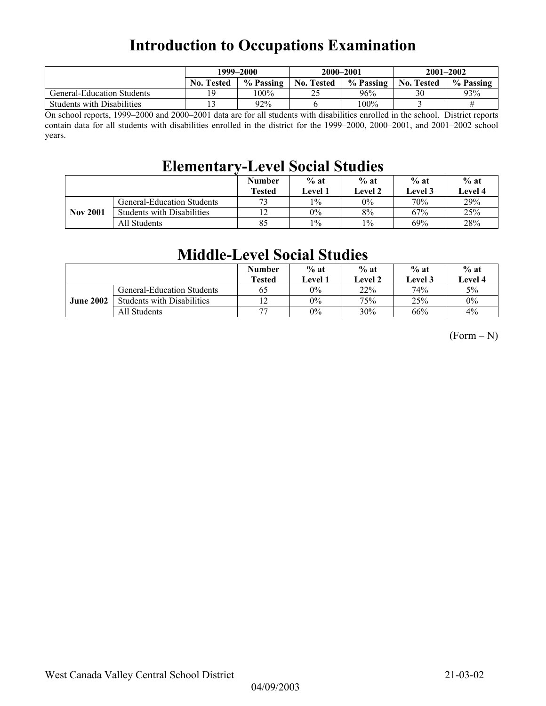## **Introduction to Occupations Examination**

|                                   | 1999–2000         |           | 2000-2001         |           | $2001 - 2002$     |           |
|-----------------------------------|-------------------|-----------|-------------------|-----------|-------------------|-----------|
|                                   | <b>No. Tested</b> | % Passing | <b>No. Tested</b> | % Passing | <b>No. Tested</b> | % Passing |
| <b>General-Education Students</b> | ١Q                | 100%      | $\gamma$<br>∸~    | 96%       | 30                | 93%       |
| <b>Students with Disabilities</b> |                   | $92\%$    |                   | 100%      |                   |           |

On school reports, 1999–2000 and 2000–2001 data are for all students with disabilities enrolled in the school. District reports contain data for all students with disabilities enrolled in the district for the 1999–2000, 2000–2001, and 2001–2002 school years.

## **Elementary-Level Social Studies**

|                 |                                   | <b>Number</b><br><b>Tested</b> | $%$ at<br><b>Level 1</b> | $%$ at<br>Level 2 | $%$ at<br>Level 3 | $%$ at<br>Level 4 |
|-----------------|-----------------------------------|--------------------------------|--------------------------|-------------------|-------------------|-------------------|
|                 | <b>General-Education Students</b> | 73                             | $1\%$                    | $0\%$             | 70%               | 29%               |
| <b>Nov 2001</b> | <b>Students with Disabilities</b> |                                | $0\%$                    | 8%                | 67%               | 25%               |
|                 | All Students                      | 85                             | $1\%$                    | $1\%$             | 69%               | 28%               |

### **Middle-Level Social Studies**

|                  |                                   | <b>Number</b><br><b>Tested</b> | $%$ at<br>Level 1 | $%$ at<br>Level 2 | $%$ at<br>Level 3 | $%$ at<br>Level 4 |
|------------------|-----------------------------------|--------------------------------|-------------------|-------------------|-------------------|-------------------|
|                  | General-Education Students        | 65                             | $0\%$             | 22%               | 74%               | 5%                |
| <b>June 2002</b> | <b>Students with Disabilities</b> | 12                             | $0\%$             | 75%               | 25%               | $0\%$             |
|                  | All Students                      | 77                             | $0\%$             | 30%               | 66%               | 4%                |

 $(Form - N)$